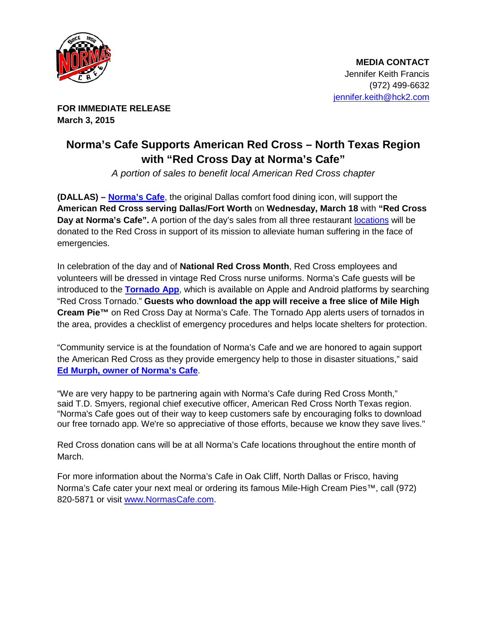

**FOR IMMEDIATE RELEASE March 3, 2015**

## **Norma's Cafe Supports American Red Cross – North Texas Region with "Red Cross Day at Norma's Cafe"**

*A portion of sales to benefit local American Red Cross chapter*

**(DALLAS) – [Norma's Cafe](http://normascafe.com/)**, the original Dallas comfort food dining icon, will support the **American Red Cross serving Dallas/Fort Worth** on **Wednesday, March 18** with **"Red Cross Day at Norma's Cafe".** A portion of the day's sales from all three restaurant [locations](http://normascafe.com/locations/) will be donated to the Red Cross in support of its mission to alleviate human suffering in the face of emergencies.

In celebration of the day and of **National Red Cross Month**, Red Cross employees and volunteers will be dressed in vintage Red Cross nurse uniforms. Norma's Cafe guests will be introduced to the **[Tornado App](http://www.redcross.org/news/press-release/New-Tornado-App-Brings-Safety-Information-to-Mobile-Devices)**, which is available on Apple and Android platforms by searching "Red Cross Tornado." **Guests who download the app will receive a free slice of Mile High Cream Pie™** on Red Cross Day at Norma's Cafe. The Tornado App alerts users of tornados in the area, provides a checklist of emergency procedures and helps locate shelters for protection.

"Community service is at the foundation of Norma's Cafe and we are honored to again support the American Red Cross as they provide emergency help to those in disaster situations," said **[Ed Murph, owner of Norma's Cafe](http://www.normascafe.com/about/)**.

"We are very happy to be partnering again with Norma's Cafe during Red Cross Month," said T.D. Smyers, regional chief executive officer, American Red Cross North Texas region. "Norma's Cafe goes out of their way to keep customers safe by encouraging folks to download our free tornado app. We're so appreciative of those efforts, because we know they save lives."

Red Cross donation cans will be at all Norma's Cafe locations throughout the entire month of March.

For more information about the Norma's Cafe in Oak Cliff, North Dallas or Frisco, having Norma's Cafe cater your next meal or ordering its famous Mile-High Cream Pies™, call (972) 820-5871 or visit [www.NormasCafe.com.](http://www.normascafe.com/)